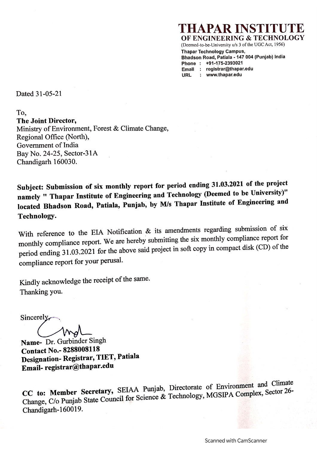# [APAR INSTI

OF ENGINEERING & TECHNOLOGY

(Deemed-to-be-University u/s 3 of the UGC Act, 1956) **Thapar Technology Campus,** 

Bhadson Road, Patiala - 147 004 (Punjab) India Phone: +91-175-2393021

Email : registrar@thapar.edu

: www.thapar.edu **HRL** 

Dated 31-05-21

To. The Joint Director. Ministry of Environment, Forest & Climate Change, Regional Office (North). Government of India Bay No. 24-25, Sector-31A Chandigarh 160030.

Subject: Submission of six monthly report for period ending 31.03.2021 of the project namely " Thapar Institute of Engineering and Technology (Deemed to be University)" located Bhadson Road, Patiala, Punjab, by M/s Thapar Institute of Engineering and Technology.

With reference to the EIA Notification & its amendments regarding submission of six monthly compliance report. We are hereby submitting the six monthly compliance report for period ending 31.03.2021 for the above said project in soft copy in compact disk (CD) of the compliance report for your perusal.

Kindly acknowledge the receipt of the same. Thanking you.

Sincerely

Name- Dr. Gurbinder Singh **Contact No.-8288008118** Designation-Registrar, TIET, Patiala Email-registrar@thapar.edu

CC to: Member Secretary, SEIAA Punjab, Directorate of Environment and Climate Change, C/o Punjab State Council for Science & Technology, MGSIPA Complex, Sector 26-Chandigarh-160019.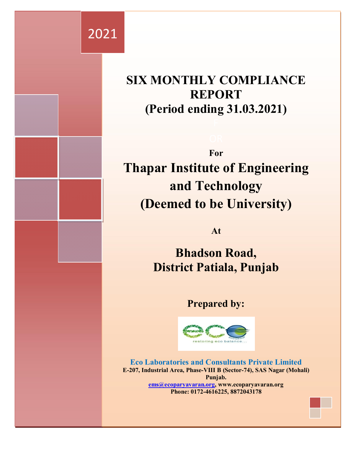# 2021

# **SIX MONTHLY COMPLIANCE REPORT (Period ending 31.03.2021)**

**For Thapar Institute of Engineering and Technology (Deemed to be University)**

**At**

**Bhadson Road, District Patiala, Punjab**

## **Prepared by:**



**Eco Laboratories and Consultants Private Limited E-207, Industrial Area, Phase-VIII B (Sector-74), SAS Nagar (Mohali) Punjab. ems@ecoparyavaran.org, www.ecoparyavaran.org Phone: 0172-4616225, 8872043178**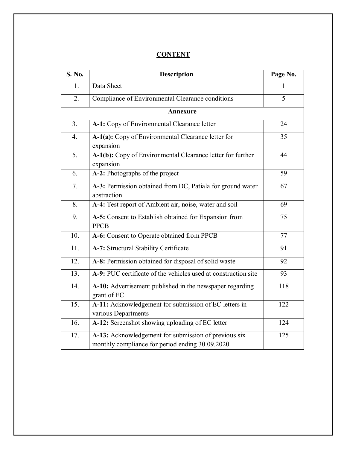### **CONTENT**

| S. No.            | <b>Description</b>                                                                                      | Page No. |
|-------------------|---------------------------------------------------------------------------------------------------------|----------|
| 1.                | Data Sheet                                                                                              | 1        |
| 2.                | Compliance of Environmental Clearance conditions                                                        | 5        |
|                   | Annexure                                                                                                |          |
| 3.                | A-1: Copy of Environmental Clearance letter                                                             | 24       |
| 4.                | A-1(a): Copy of Environmental Clearance letter for<br>expansion                                         | 35       |
| 5.                | A-1(b): Copy of Environmental Clearance letter for further<br>expansion                                 | 44       |
| 6.                | A-2: Photographs of the project                                                                         | 59       |
| 7.                | A-3: Permission obtained from DC, Patiala for ground water<br>abstraction                               | 67       |
| 8.                | A-4: Test report of Ambient air, noise, water and soil                                                  | 69       |
| 9.                | A-5: Consent to Establish obtained for Expansion from<br><b>PPCB</b>                                    | 75       |
| 10.               | A-6: Consent to Operate obtained from PPCB                                                              | 77       |
| 11.               | A-7: Structural Stability Certificate                                                                   | 91       |
| 12.               | A-8: Permission obtained for disposal of solid waste                                                    | 92       |
| 13.               | A-9: PUC certificate of the vehicles used at construction site                                          | 93       |
| 14.               | A-10: Advertisement published in the newspaper regarding<br>grant of EC                                 | 118      |
| $\overline{15}$ . | A-11: Acknowledgement for submission of EC letters in<br>various Departments                            | 122      |
| $\overline{16}$ . | A-12: Screenshot showing uploading of EC letter                                                         | 124      |
| 17.               | A-13: Acknowledgement for submission of previous six<br>monthly compliance for period ending 30.09.2020 | 125      |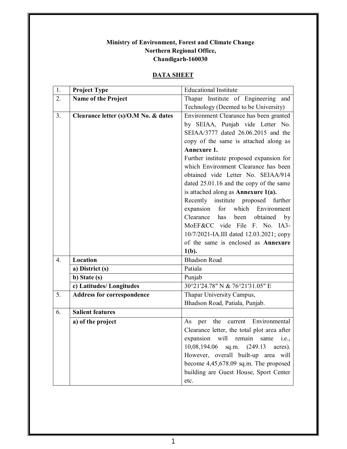#### **Ministry of Environment, Forest and Climate Change Northern Regional Office, Chandigarh-160030**

#### **DATA SHEET**

| 1. | <b>Project Type</b>                  | <b>Educational Institute</b>                |
|----|--------------------------------------|---------------------------------------------|
| 2. | Name of the Project                  | Thapar Institute of Engineering and         |
|    |                                      | Technology (Deemed to be University)        |
| 3. | Clearance letter (s)/O.M No. & dates | Environment Clearance has been granted      |
|    |                                      | by SEIAA, Punjab vide Letter No.            |
|    |                                      | SEIAA/3777 dated 26.06.2015 and the         |
|    |                                      | copy of the same is attached along as       |
|    |                                      | Annexure 1.                                 |
|    |                                      | Further institute proposed expansion for    |
|    |                                      | which Environment Clearance has been        |
|    |                                      | obtained vide Letter No. SEIAA/914          |
|    |                                      | dated 25.01.16 and the copy of the same     |
|    |                                      | is attached along as Annexure $1(a)$ .      |
|    |                                      | Recently institute proposed further         |
|    |                                      | expansion for which<br>Environment          |
|    |                                      | Clearance has been obtained by              |
|    |                                      | MoEF&CC vide File F. No. IA3-               |
|    |                                      | 10/7/2021-IA.III dated 12.03.2021; copy     |
|    |                                      | of the same is enclosed as Annexure         |
|    |                                      | $1(b)$ .                                    |
|    |                                      |                                             |
| 4. | Location                             | <b>Bhadson Road</b>                         |
|    | a) District (s)                      | Patiala                                     |
|    | b) State (s)                         | Punjab                                      |
|    | c) Latitudes/Longitudes              | 30°21'24.78" N & 76°21'31.05" E             |
| 5. | <b>Address for correspondence</b>    | Thapar University Campus,                   |
|    |                                      | Bhadson Road, Patiala, Punjab.              |
| 6. | <b>Salient features</b>              |                                             |
|    | a) of the project                    | current Environmental<br>the<br>As<br>per   |
|    |                                      | Clearance letter, the total plot area after |
|    |                                      | expansion will remain same i.e.,            |
|    |                                      | $10,08,194.06$ sq.m. $(249.13)$<br>acres).  |
|    |                                      | However, overall built-up area will         |
|    |                                      | become $4,45,678.09$ sq.m. The proposed     |
|    |                                      | building are Guest House, Sport Center      |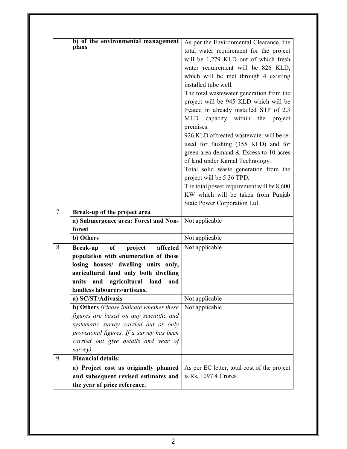|    | b) of the environmental management<br>plans  | As per the Environmental Clearance, the     |
|----|----------------------------------------------|---------------------------------------------|
|    |                                              | total water requirement for the project     |
|    |                                              | will be 1,279 KLD out of which fresh        |
|    |                                              | water requirement will be 826 KLD,          |
|    |                                              | which will be met through 4 existing        |
|    |                                              | installed tube well.                        |
|    |                                              | The total wastewater generation from the    |
|    |                                              | project will be 945 KLD which will be       |
|    |                                              | treated in already installed STP of 2.3     |
|    |                                              | MLD capacity within the<br>project          |
|    |                                              | premises.                                   |
|    |                                              | 926 KLD of treated wastewater will be re-   |
|    |                                              | used for flushing (355 KLD) and for         |
|    |                                              | green area demand & Excess to 10 acres      |
|    |                                              | of land under Karnal Technology.            |
|    |                                              | Total solid waste generation from the       |
|    |                                              | project will be 5.36 TPD.                   |
|    |                                              | The total power requirement will be 8,600   |
|    |                                              | KW which will be taken from Punjab          |
|    |                                              | State Power Corporation Ltd.                |
| 7. | Break-up of the project area                 |                                             |
|    | a) Submergence area: Forest and Non-         | Not applicable                              |
|    | forest                                       |                                             |
|    | b) Others                                    | Not applicable                              |
| 8. | of<br>project<br>affected<br><b>Break-up</b> | Not applicable                              |
|    | population with enumeration of those         |                                             |
|    | losing houses/ dwelling units only,          |                                             |
|    | agricultural land only both dwelling         |                                             |
|    | units<br>agricultural land<br>and<br>and     |                                             |
|    | landless labourers/artisans.                 |                                             |
|    | a) SC/ST/Adivasis                            | Not applicable                              |
|    | b) Others (Please indicate whether these     | Not applicable                              |
|    | figures are based on any scientific and      |                                             |
|    | systematic survey carried out or only        |                                             |
|    | provisional figures. If a survey has been    |                                             |
|    | carried out give details and year of         |                                             |
|    | survey)                                      |                                             |
| 9. | <b>Financial details:</b>                    |                                             |
|    | a) Project cost as originally planned        | As per EC letter, total cost of the project |
|    | and subsequent revised estimates and         | is Rs. 1097.4 Crores.                       |
|    | the year of price reference.                 |                                             |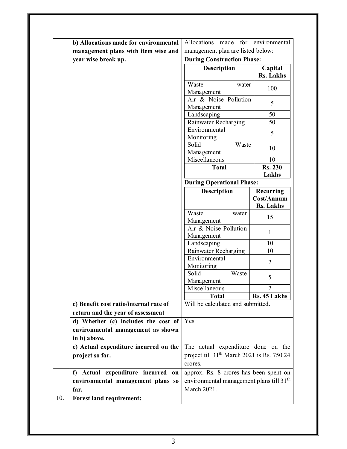|     | b) Allocations made for environmental  | Allocations made<br>for                                | environmental    |
|-----|----------------------------------------|--------------------------------------------------------|------------------|
|     | management plans with item wise and    | management plan are listed below:                      |                  |
|     | year wise break up.                    | <b>During Construction Phase:</b>                      |                  |
|     |                                        | Description                                            | Capital          |
|     |                                        |                                                        | <b>Rs.</b> Lakhs |
|     |                                        | Waste<br>water<br>Management                           | 100              |
|     |                                        | Air & Noise Pollution<br>Management                    | 5                |
|     |                                        | Landscaping                                            | 50               |
|     |                                        | Rainwater Recharging                                   | 50               |
|     |                                        | Environmental                                          |                  |
|     |                                        | Monitoring                                             | 5                |
|     |                                        | Solid<br>Waste                                         |                  |
|     |                                        | Management                                             | 10               |
|     |                                        | Miscellaneous                                          | 10               |
|     |                                        | <b>Total</b>                                           | <b>Rs. 230</b>   |
|     |                                        |                                                        | Lakhs            |
|     |                                        | <b>During Operational Phase:</b>                       |                  |
|     |                                        | <b>Description</b>                                     | Recurring        |
|     |                                        |                                                        | Cost/Annum       |
|     |                                        |                                                        | <b>Rs. Lakhs</b> |
|     |                                        | Waste<br>water                                         |                  |
|     |                                        | Management                                             | 15               |
|     |                                        | Air & Noise Pollution<br>Management                    | $\mathbf{1}$     |
|     |                                        | Landscaping                                            | 10               |
|     |                                        | Rainwater Recharging                                   | 10               |
|     |                                        | Environmental                                          |                  |
|     |                                        | Monitoring                                             | $\overline{2}$   |
|     |                                        | Solid<br>Waste                                         | 5                |
|     |                                        | Management                                             |                  |
|     |                                        | Miscellaneous                                          | $\overline{2}$   |
|     |                                        | <b>Total</b>                                           | Rs. 45 Lakhs     |
|     | c) Benefit cost ratio/internal rate of | Will be calculated and submitted.                      |                  |
|     | return and the year of assessment      |                                                        |                  |
|     | d) Whether (c) includes the cost of    | Yes                                                    |                  |
|     | environmental management as shown      |                                                        |                  |
|     | in b) above.                           |                                                        |                  |
|     | e) Actual expenditure incurred on the  | The actual expenditure done on the                     |                  |
|     | project so far.                        | project till 31 <sup>th</sup> March 2021 is Rs. 750.24 |                  |
|     |                                        | crores.                                                |                  |
|     |                                        |                                                        |                  |
|     | f) Actual expenditure incurred on      | approx. Rs. 8 crores has been spent on                 |                  |
|     | environmental management plans so      | environmental management plans till 31 <sup>th</sup>   |                  |
|     | far.                                   | March 2021.                                            |                  |
| 10. | <b>Forest land requirement:</b>        |                                                        |                  |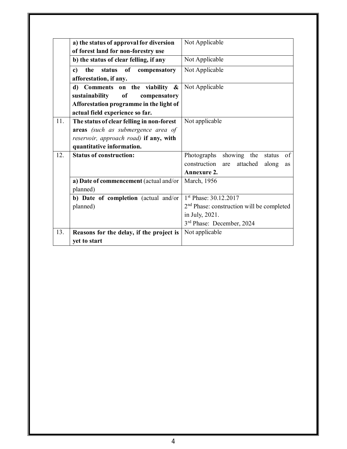|     | a) the status of approval for diversion         | Not Applicable                                        |
|-----|-------------------------------------------------|-------------------------------------------------------|
|     | of forest land for non-forestry use             |                                                       |
|     | b) the status of clear felling, if any          | Not Applicable                                        |
|     | the status of compensatory<br>$\mathbf{c}$ )    | Not Applicable                                        |
|     | afforestation, if any.                          |                                                       |
|     | d) Comments on the viability $\&$               | Not Applicable                                        |
|     | sustainability<br><sub>of</sub><br>compensatory |                                                       |
|     | Afforestation programme in the light of         |                                                       |
|     | actual field experience so far.                 |                                                       |
| 11. | The status of clear felling in non-forest       | Not applicable                                        |
|     | areas (such as submergence area of              |                                                       |
|     | reservoir, approach road) if any, with          |                                                       |
|     | quantitative information.                       |                                                       |
| 12. | <b>Status of construction:</b>                  | showing the<br>Photographs<br>of<br>status            |
|     |                                                 | construction<br>are attached<br>along<br>as           |
|     |                                                 | Annexure 2.                                           |
|     | a) Date of commencement (actual and/or          | March, 1956                                           |
|     | planned)                                        |                                                       |
|     | b) Date of completion (actual and/or            | 1 <sup>st</sup> Phase: 30.12.2017                     |
|     | planned)                                        | 2 <sup>nd</sup> Phase: construction will be completed |
|     |                                                 | in July, 2021.                                        |
|     |                                                 | 3 <sup>rd</sup> Phase: December, 2024                 |
| 13. | Reasons for the delay, if the project is        | Not applicable                                        |
|     | yet to start                                    |                                                       |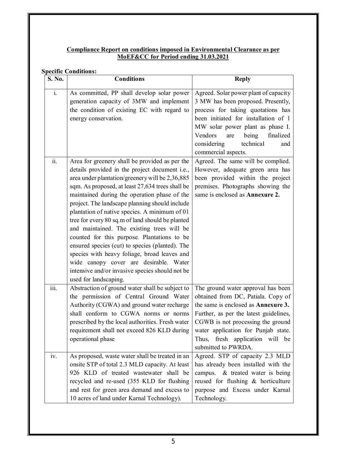#### **Compliance Report on conditions imposed in Environmental Clearance as per MoEF&CC for Period ending 31.03.2021**

#### **Specific Conditions:**

| S. No. | <b>Conditions</b>                                                                                                                                                                                                                                                                                                                                                                                                                                                                                                                                                                                                                                                                                                                    | <b>Reply</b>                                                                                                                                                                                                                                                                                           |
|--------|--------------------------------------------------------------------------------------------------------------------------------------------------------------------------------------------------------------------------------------------------------------------------------------------------------------------------------------------------------------------------------------------------------------------------------------------------------------------------------------------------------------------------------------------------------------------------------------------------------------------------------------------------------------------------------------------------------------------------------------|--------------------------------------------------------------------------------------------------------------------------------------------------------------------------------------------------------------------------------------------------------------------------------------------------------|
| i.     | As committed, PP shall develop solar power<br>generation capacity of 3MW and implement<br>the condition of existing EC with regard to<br>energy conservation.                                                                                                                                                                                                                                                                                                                                                                                                                                                                                                                                                                        | Agreed. Solar power plant of capacity<br>3 MW has been proposed. Presently,<br>process for taking quotations has<br>been initiated for installation of 1<br>MW solar power plant as phase I.<br>Vendors<br>being<br>finalized<br>are<br>technical<br>considering<br>and<br>commercial aspects.         |
| ii.    | Area for greenery shall be provided as per the<br>details provided in the project document i.e.,<br>area under plantation/greenery will be 2,36,885<br>sqm. As proposed, at least 27,634 trees shall be<br>maintained during the operation phase of the<br>project. The landscape planning should include<br>plantation of native species. A minimum of 01<br>tree for every 80 sq.m of land should be planted<br>and maintained. The existing trees will be<br>counted for this purpose. Plantations to be<br>ensured species (cut) to species (planted). The<br>species with heavy foliage, broad leaves and<br>wide canopy cover are desirable. Water<br>intensive and/or invasive species should not be<br>used for landscaping. | Agreed. The same will be complied.<br>However, adequate green area has<br>been provided within the project<br>premises. Photographs showing the<br>same is enclosed as <b>Annexure 2.</b>                                                                                                              |
| iii.   | Abstraction of ground water shall be subject to<br>the permission of Central Ground Water<br>Authority (CGWA) and ground water recharge<br>shall conform to CGWA norms or norms<br>prescribed by the local authorities. Fresh water<br>requirement shall not exceed 826 KLD during<br>operational phase                                                                                                                                                                                                                                                                                                                                                                                                                              | The ground water approval has been<br>obtained from DC, Patiala. Copy of<br>the same is enclosed as <b>Annexure 3.</b><br>Further, as per the latest guidelines,<br>CGWB is not processing the ground<br>water application for Punjab state.<br>Thus, fresh application will be<br>submitted to PWRDA. |
| iv.    | As proposed, waste water shall be treated in an<br>onsite STP of total 2.3 MLD capacity. At least<br>926 KLD of treated wastewater shall be<br>recycled and re-used (355 KLD for flushing<br>and rest for green area demand and excess to<br>10 acres of land under Karnal Technology).                                                                                                                                                                                                                                                                                                                                                                                                                                              | Agreed. STP of capacity 2.3 MLD<br>has already been installed with the<br>campus. & treated water is being<br>reused for flushing & horticulture<br>purpose and Excess under Karnal<br>Technology.                                                                                                     |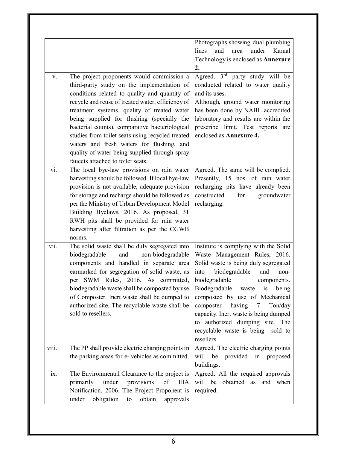|       |                                                      | Photographs showing dual plumbing            |
|-------|------------------------------------------------------|----------------------------------------------|
|       |                                                      | Karnal<br>and<br>area<br>under<br>lines      |
|       |                                                      | Technology is enclosed as Annexure           |
|       |                                                      | 2.                                           |
| V.    | The project proponents would commission a            | Agreed. 3 <sup>rd</sup> party study will be  |
|       | third-party study on the implementation of           | conducted related to water quality           |
|       | conditions related to quality and quantity of        | and its uses.                                |
|       | recycle and reuse of treated water, efficiency of    | Although, ground water monitoring            |
|       | treatment systems, quality of treated water          | has been done by NABL accredited             |
|       | being supplied for flushing (specially the           | laboratory and results are within the        |
|       | bacterial counts), comparative bacteriological       | prescribe limit. Test reports are            |
|       | studies from toilet seats using recycled treated     | enclosed as Annexure 4.                      |
|       | waters and fresh waters for flushing, and            |                                              |
|       | quality of water being supplied through spray        |                                              |
|       | faucets attached to toilet seats.                    |                                              |
| vi.   | The local bye-law provisions on rain water           | Agreed. The same will be complied.           |
|       | harvesting should be followed. If local bye-law      | Presently, 15 nos. of rain water             |
|       | provision is not available, adequate provision       | recharging pits have already been            |
|       | for storage and recharge should be followed as       | constructed<br>for<br>groundwater            |
|       | per the Ministry of Urban Development Model          | recharging.                                  |
|       | Building Byelaws, 2016. As proposed, 31              |                                              |
|       | RWH pits shall be provided for rain water            |                                              |
|       | harvesting after filtration as per the CGWB          |                                              |
|       | norms.                                               |                                              |
| vii.  | The solid waste shall be duly segregated into        | Institute is complying with the Solid        |
|       | and<br>non-biodegradable<br>biodegradable            | Waste Management Rules, 2016.                |
|       | components and handled in separate area              | Solid waste is being duly segregated         |
|       | earmarked for segregation of solid waste, as         | biodegradable<br>into<br>and<br>non-         |
|       | per SWM Rules, 2016. As committed,                   | biodegradable<br>components.                 |
|       | biodegradable waste shall be composted by use        | Biodegradable<br>waste is<br>being           |
|       | of Composter. Inert waste shall be dumped to         | composted by use of Mechanical               |
|       | authorized site. The recyclable waste shall be       | composter<br>having<br>Ton/day<br>$7\degree$ |
|       | sold to resellers.                                   | capacity. Inert waste is being dumped        |
|       |                                                      | to authorized dumping site. The              |
|       |                                                      | recyclable waste is being<br>sold to         |
|       |                                                      | resellers.                                   |
| viii. | The PP shall provide electric charging points in     | Agreed. The electric charging points         |
|       | the parking areas for e-vehicles as committed.       | be provided<br>will<br>in proposed           |
|       |                                                      | buildings.                                   |
| ix.   | The Environmental Clearance to the project is        | Agreed. All the required approvals           |
|       | under<br>provisions<br>of<br>primarily<br><b>EIA</b> | will be obtained as and when                 |
|       | Notification, 2006. The Project Proponent is         | required.                                    |
|       | under<br>obligation<br>obtain<br>approvals<br>to     |                                              |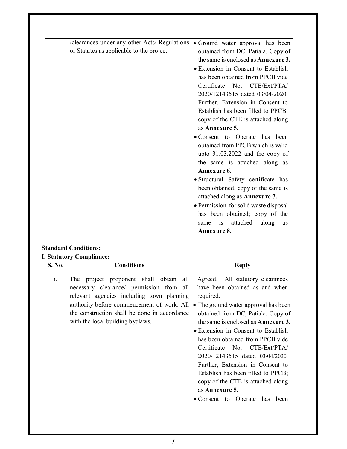| /clearances under any other Acts/ Regulations | • Ground water approval has been           |
|-----------------------------------------------|--------------------------------------------|
| or Statutes as applicable to the project.     | obtained from DC, Patiala. Copy of         |
|                                               | the same is enclosed as <b>Annexure 3.</b> |
|                                               | · Extension in Consent to Establish        |
|                                               | has been obtained from PPCB vide           |
|                                               | Certificate No. CTE/Ext/PTA/               |
|                                               | 2020/12143515 dated 03/04/2020.            |
|                                               | Further, Extension in Consent to           |
|                                               | Establish has been filled to PPCB;         |
|                                               | copy of the CTE is attached along          |
|                                               | as Annexure 5.                             |
|                                               | · Consent to Operate has been              |
|                                               | obtained from PPCB which is valid          |
|                                               | upto $31.03.2022$ and the copy of          |
|                                               | the same is attached along as              |
|                                               | Annexure 6.                                |
|                                               | · Structural Safety certificate has        |
|                                               | been obtained; copy of the same is         |
|                                               | attached along as Annexure 7.              |
|                                               | • Permission for solid waste disposal      |
|                                               | has been obtained; copy of the             |
|                                               | attached<br>is<br>along<br>same<br>as      |
|                                               | <b>Annexure 8.</b>                         |
|                                               |                                            |

### **Standard Conditions:**

#### **I. Statutory Compliance:**

| S. No.         | <b>Conditions</b>                            | <b>Reply</b>                               |
|----------------|----------------------------------------------|--------------------------------------------|
| $\mathbf{i}$ . | The project proponent shall obtain<br>all    | Agreed. All statutory clearances           |
|                | necessary clearance/ permission from all     | have been obtained as and when             |
|                | relevant agencies including town planning    | required.                                  |
|                | authority before commencement of work. All   | • The ground water approval has been       |
|                | the construction shall be done in accordance | obtained from DC, Patiala. Copy of         |
|                | with the local building byelaws.             | the same is enclosed as <b>Annexure 3.</b> |
|                |                                              | • Extension in Consent to Establish        |
|                |                                              | has been obtained from PPCB vide           |
|                |                                              | Certificate No. CTE/Ext/PTA/               |
|                |                                              | 2020/12143515 dated 03/04/2020.            |
|                |                                              | Further, Extension in Consent to           |
|                |                                              | Establish has been filled to PPCB;         |
|                |                                              | copy of the CTE is attached along          |
|                |                                              | as Annexure 5.                             |
|                |                                              | • Consent to Operate has<br>been           |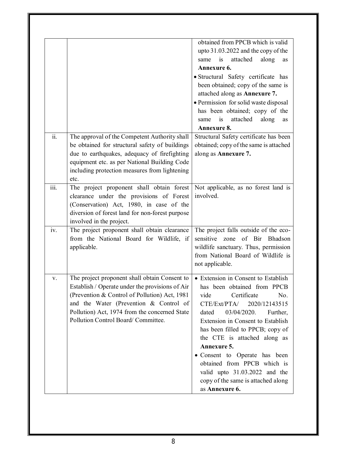|                    |                                                 | obtained from PPCB which is valid      |
|--------------------|-------------------------------------------------|----------------------------------------|
|                    |                                                 | upto 31.03.2022 and the copy of the    |
|                    |                                                 | is<br>attached<br>along<br>same<br>as  |
|                    |                                                 | Annexure 6.                            |
|                    |                                                 | · Structural Safety certificate has    |
|                    |                                                 | been obtained; copy of the same is     |
|                    |                                                 | attached along as Annexure 7.          |
|                    |                                                 | • Permission for solid waste disposal  |
|                    |                                                 | has been obtained; copy of the         |
|                    |                                                 | is<br>attached<br>along<br>same<br>as  |
|                    |                                                 | Annexure 8.                            |
| ii.                | The approval of the Competent Authority shall   | Structural Safety certificate has been |
|                    | be obtained for structural safety of buildings  | obtained; copy of the same is attached |
|                    | due to earthquakes, adequacy of firefighting    | along as Annexure 7.                   |
|                    | equipment etc. as per National Building Code    |                                        |
|                    | including protection measures from lightening   |                                        |
|                    | etc.                                            |                                        |
| $\overline{iii}$ . | The project proponent shall obtain forest       | Not applicable, as no forest land is   |
|                    | clearance under the provisions of Forest        | involved.                              |
|                    | (Conservation) Act, 1980, in case of the        |                                        |
|                    | diversion of forest land for non-forest purpose |                                        |
|                    | involved in the project.                        |                                        |
| iv.                | The project proponent shall obtain clearance    | The project falls outside of the eco-  |
|                    | from the National Board for Wildlife, if        | sensitive zone of Bir Bhadson          |
|                    | applicable.                                     | wildlife sanctuary. Thus, permission   |
|                    |                                                 | from National Board of Wildlife is     |
|                    |                                                 | not applicable.                        |
|                    |                                                 |                                        |
| V.                 | The project proponent shall obtain Consent to   | • Extension in Consent to Establish    |
|                    | Establish / Operate under the provisions of Air | has been obtained from PPCB            |
|                    | (Prevention & Control of Pollution) Act, 1981   | vide<br>Certificate<br>No.             |
|                    | and the Water (Prevention & Control of          | CTE/Ext/PTA/<br>2020/12143515          |
|                    | Pollution) Act, 1974 from the concerned State   | 03/04/2020.<br>dated<br>Further,       |
|                    | Pollution Control Board/ Committee.             | Extension in Consent to Establish      |
|                    |                                                 | has been filled to PPCB; copy of       |
|                    |                                                 | the CTE is attached along as           |
|                    |                                                 | Annexure 5.                            |
|                    |                                                 | • Consent to Operate has been          |
|                    |                                                 | obtained from PPCB which is            |
|                    |                                                 | valid upto 31.03.2022 and the          |
|                    |                                                 | copy of the same is attached along     |
|                    |                                                 | as Annexure 6.                         |
|                    |                                                 |                                        |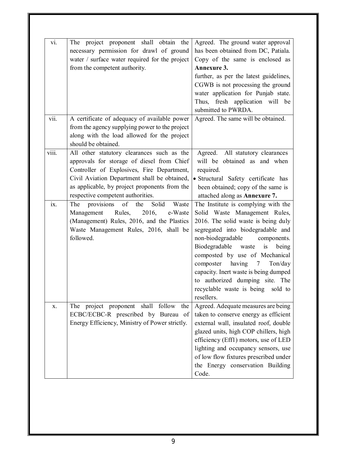| vi.   | The project proponent shall obtain the<br>necessary permission for drawl of ground<br>water / surface water required for the project | Agreed. The ground water approval<br>has been obtained from DC, Patiala.<br>Copy of the same is enclosed as |
|-------|--------------------------------------------------------------------------------------------------------------------------------------|-------------------------------------------------------------------------------------------------------------|
|       | from the competent authority.                                                                                                        | Annexure 3.                                                                                                 |
|       |                                                                                                                                      |                                                                                                             |
|       |                                                                                                                                      | further, as per the latest guidelines,                                                                      |
|       |                                                                                                                                      | CGWB is not processing the ground                                                                           |
|       |                                                                                                                                      | water application for Punjab state.                                                                         |
|       |                                                                                                                                      | Thus, fresh application will be                                                                             |
|       |                                                                                                                                      | submitted to PWRDA.                                                                                         |
| vii.  | A certificate of adequacy of available power                                                                                         | Agreed. The same will be obtained.                                                                          |
|       | from the agency supplying power to the project                                                                                       |                                                                                                             |
|       | along with the load allowed for the project                                                                                          |                                                                                                             |
|       | should be obtained.                                                                                                                  |                                                                                                             |
| viii. | All other statutory clearances such as the                                                                                           | Agreed. All statutory clearances                                                                            |
|       | approvals for storage of diesel from Chief                                                                                           | will be obtained as and when                                                                                |
|       | Controller of Explosives, Fire Department,                                                                                           | required.                                                                                                   |
|       | Civil Aviation Department shall be obtained,                                                                                         | · Structural Safety certificate has                                                                         |
|       | as applicable, by project proponents from the                                                                                        | been obtained; copy of the same is                                                                          |
|       | respective competent authorities.                                                                                                    | attached along as Annexure 7.                                                                               |
| ix.   | The provisions of the<br>Solid<br>Waste                                                                                              | The Institute is complying with the                                                                         |
|       | 2016,<br>Management Rules,<br>e-Waste                                                                                                | Solid Waste Management Rules,                                                                               |
|       | (Management) Rules, 2016, and the Plastics                                                                                           | 2016. The solid waste is being duly                                                                         |
|       |                                                                                                                                      | segregated into biodegradable and                                                                           |
|       | Waste Management Rules, 2016, shall be<br>followed.                                                                                  |                                                                                                             |
|       |                                                                                                                                      | non-biodegradable components.                                                                               |
|       |                                                                                                                                      | Biodegradable waste<br>is<br>being                                                                          |
|       |                                                                                                                                      | composted by use of Mechanical                                                                              |
|       |                                                                                                                                      | composter having 7<br>Ton/day                                                                               |
|       |                                                                                                                                      | capacity. Inert waste is being dumped                                                                       |
|       |                                                                                                                                      | to authorized dumping site. The                                                                             |
|       |                                                                                                                                      | recyclable waste is being sold to                                                                           |
|       |                                                                                                                                      | resellers.                                                                                                  |
| X.    | The project proponent shall follow the                                                                                               | Agreed. Adequate measures are being                                                                         |
|       | ECBC/ECBC-R prescribed by Bureau of                                                                                                  | taken to conserve energy as efficient                                                                       |
|       | Energy Efficiency, Ministry of Power strictly.                                                                                       | external wall, insulated roof, double                                                                       |
|       |                                                                                                                                      | glazed units, high COP chillers, high                                                                       |
|       |                                                                                                                                      | efficiency (Eff1) motors, use of LED                                                                        |
|       |                                                                                                                                      | lighting and occupancy sensors, use                                                                         |
|       |                                                                                                                                      | of low flow fixtures prescribed under                                                                       |
|       |                                                                                                                                      | the Energy conservation Building                                                                            |
|       |                                                                                                                                      | Code.                                                                                                       |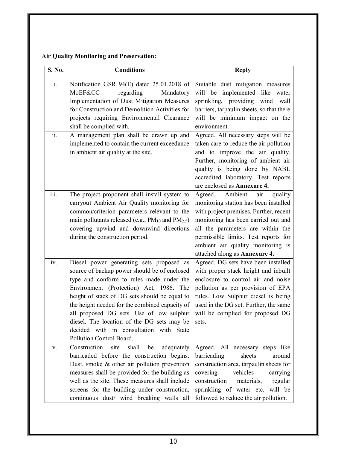### **Air Quality Monitoring and Preservation:**

| S. No.         | <b>Conditions</b>                                                                                                                                                                                                                                                                                                                                                                                                                                   | <b>Reply</b>                                                                                                                                                                                                                                                                                                   |
|----------------|-----------------------------------------------------------------------------------------------------------------------------------------------------------------------------------------------------------------------------------------------------------------------------------------------------------------------------------------------------------------------------------------------------------------------------------------------------|----------------------------------------------------------------------------------------------------------------------------------------------------------------------------------------------------------------------------------------------------------------------------------------------------------------|
| $\mathbf{i}$ . | Notification GSR 94(E) dated 25.01.2018 of<br>MoEF&CC<br>regarding<br>Mandatory<br>Implementation of Dust Mitigation Measures<br>for Construction and Demolition Activities for<br>projects requiring Environmental Clearance<br>shall be complied with.                                                                                                                                                                                            | Suitable dust mitigation measures<br>will be implemented like water<br>sprinkling, providing wind<br>wall<br>barriers, tarpaulin sheets, so that there<br>will be minimum impact on the<br>environment.                                                                                                        |
| ii.            | A management plan shall be drawn up and<br>implemented to contain the current exceedance<br>in ambient air quality at the site.                                                                                                                                                                                                                                                                                                                     | Agreed. All necessary steps will be<br>taken care to reduce the air pollution<br>and to improve the air quality.<br>Further, monitoring of ambient air<br>quality is being done by NABL<br>accredited laboratory. Test reports<br>are enclosed as Annexure 4.                                                  |
| iii.           | The project proponent shall install system to<br>carryout Ambient Air Quality monitoring for<br>common/criterion parameters relevant to the<br>main pollutants released (e.g., PM <sub>10</sub> and PM <sub>2.5</sub> )<br>covering upwind and downwind directions<br>during the construction period.                                                                                                                                               | Agreed. Ambient<br>quality<br>air<br>monitoring station has been installed<br>with project premises. Further, recent<br>monitoring has been carried out and<br>all the parameters are within the<br>permissible limits. Test reports for<br>ambient air quality monitoring is<br>attached along as Annexure 4. |
| iv.            | Diesel power generating sets proposed as<br>source of backup power should be of enclosed<br>type and conform to rules made under the<br>Environment (Protection) Act, 1986. The<br>height of stack of DG sets should be equal to<br>the height needed for the combined capacity of<br>all proposed DG sets. Use of low sulphur<br>diesel. The location of the DG sets may be<br>decided with in consultation with State<br>Pollution Control Board. | Agreed. DG sets have been installed<br>with proper stack height and inbuilt<br>enclosure to control air and noise<br>pollution as per provision of EPA<br>rules. Low Sulphur diesel is being<br>used in the DG set. Further, the same<br>will be complied for proposed DG<br>sets.                             |
| V.             | Construction<br>site<br>shall<br>be<br>adequately<br>barricaded before the construction begins.<br>Dust, smoke & other air pollution prevention<br>measures shall be provided for the building as<br>well as the site. These measures shall include<br>screens for the building under construction,<br>continuous dust/ wind breaking walls all                                                                                                     | Agreed. All necessary steps like<br>sheets<br>barricading<br>around<br>construction area, tarpaulin sheets for<br>vehicles<br>covering<br>carrying<br>construction<br>regular<br>materials,<br>sprinkling of water etc. will be<br>followed to reduce the air pollution.                                       |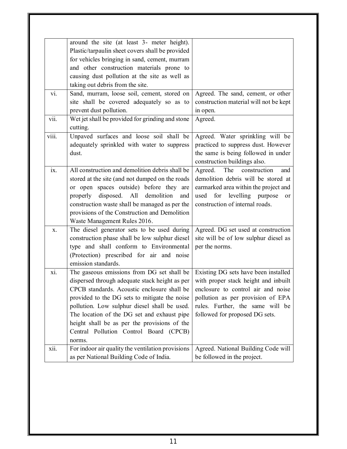| around the site (at least 3- meter height).<br>Plastic/tarpaulin sheet covers shall be provided<br>for vehicles bringing in sand, cement, murram<br>and other construction materials prone to<br>causing dust pollution at the site as well as<br>taking out debris from the site.<br>Sand, murram, loose soil, cement, stored on<br>vi.<br>Agreed. The sand, cement, or other<br>site shall be covered adequately so as to<br>construction material will not be kept<br>prevent dust pollution.<br>in open.<br>vii.<br>Wet jet shall be provided for grinding and stone<br>Agreed.<br>cutting.<br>viii.<br>Unpaved surfaces and loose soil shall be<br>Agreed. Water sprinkling will be<br>adequately sprinkled with water to suppress<br>practiced to suppress dust. However<br>the same is being followed in under<br>dust.<br>construction buildings also.<br>All construction and demolition debris shall be<br>The<br>ix.<br>Agreed.<br>construction<br>and<br>demolition debris will be stored at<br>stored at the site (and not dumped on the roads<br>or open spaces outside) before they are<br>earmarked area within the project and<br>properly disposed. All demolition<br>used for levelling purpose<br>and<br>or<br>construction waste shall be managed as per the<br>construction of internal roads.<br>provisions of the Construction and Demolition<br>Waste Management Rules 2016.<br>The diesel generator sets to be used during<br>Agreed. DG set used at construction<br>X.<br>construction phase shall be low sulphur diesel<br>site will be of low sulphur diesel as<br>type and shall conform to Environmental<br>per the norms.<br>(Protection) prescribed for air and noise<br>emission standards.<br>Existing DG sets have been installed<br>The gaseous emissions from DG set shall be<br>xi.<br>dispersed through adequate stack height as per<br>with proper stack height and inbuilt<br>CPCB standards. Acoustic enclosure shall be<br>enclosure to control air and noise<br>pollution as per provision of EPA<br>provided to the DG sets to mitigate the noise<br>rules. Further, the same will be<br>pollution. Low sulphur diesel shall be used.<br>The location of the DG set and exhaust pipe<br>followed for proposed DG sets.<br>height shall be as per the provisions of the<br>Central Pollution Control Board (CPCB)<br>norms.<br>For indoor air quality the ventilation provisions<br>Agreed. National Building Code will<br>xii.<br>as per National Building Code of India.<br>be followed in the project. |  |  |
|--------------------------------------------------------------------------------------------------------------------------------------------------------------------------------------------------------------------------------------------------------------------------------------------------------------------------------------------------------------------------------------------------------------------------------------------------------------------------------------------------------------------------------------------------------------------------------------------------------------------------------------------------------------------------------------------------------------------------------------------------------------------------------------------------------------------------------------------------------------------------------------------------------------------------------------------------------------------------------------------------------------------------------------------------------------------------------------------------------------------------------------------------------------------------------------------------------------------------------------------------------------------------------------------------------------------------------------------------------------------------------------------------------------------------------------------------------------------------------------------------------------------------------------------------------------------------------------------------------------------------------------------------------------------------------------------------------------------------------------------------------------------------------------------------------------------------------------------------------------------------------------------------------------------------------------------------------------------------------------------------------------------------------------------------------------------------------------------------------------------------------------------------------------------------------------------------------------------------------------------------------------------------------------------------------------------------------------------------------------------------------------------------------------------------------------------------------------------------------------------------------------------------------------------------------|--|--|
|                                                                                                                                                                                                                                                                                                                                                                                                                                                                                                                                                                                                                                                                                                                                                                                                                                                                                                                                                                                                                                                                                                                                                                                                                                                                                                                                                                                                                                                                                                                                                                                                                                                                                                                                                                                                                                                                                                                                                                                                                                                                                                                                                                                                                                                                                                                                                                                                                                                                                                                                                        |  |  |
|                                                                                                                                                                                                                                                                                                                                                                                                                                                                                                                                                                                                                                                                                                                                                                                                                                                                                                                                                                                                                                                                                                                                                                                                                                                                                                                                                                                                                                                                                                                                                                                                                                                                                                                                                                                                                                                                                                                                                                                                                                                                                                                                                                                                                                                                                                                                                                                                                                                                                                                                                        |  |  |
|                                                                                                                                                                                                                                                                                                                                                                                                                                                                                                                                                                                                                                                                                                                                                                                                                                                                                                                                                                                                                                                                                                                                                                                                                                                                                                                                                                                                                                                                                                                                                                                                                                                                                                                                                                                                                                                                                                                                                                                                                                                                                                                                                                                                                                                                                                                                                                                                                                                                                                                                                        |  |  |
|                                                                                                                                                                                                                                                                                                                                                                                                                                                                                                                                                                                                                                                                                                                                                                                                                                                                                                                                                                                                                                                                                                                                                                                                                                                                                                                                                                                                                                                                                                                                                                                                                                                                                                                                                                                                                                                                                                                                                                                                                                                                                                                                                                                                                                                                                                                                                                                                                                                                                                                                                        |  |  |
|                                                                                                                                                                                                                                                                                                                                                                                                                                                                                                                                                                                                                                                                                                                                                                                                                                                                                                                                                                                                                                                                                                                                                                                                                                                                                                                                                                                                                                                                                                                                                                                                                                                                                                                                                                                                                                                                                                                                                                                                                                                                                                                                                                                                                                                                                                                                                                                                                                                                                                                                                        |  |  |
|                                                                                                                                                                                                                                                                                                                                                                                                                                                                                                                                                                                                                                                                                                                                                                                                                                                                                                                                                                                                                                                                                                                                                                                                                                                                                                                                                                                                                                                                                                                                                                                                                                                                                                                                                                                                                                                                                                                                                                                                                                                                                                                                                                                                                                                                                                                                                                                                                                                                                                                                                        |  |  |
|                                                                                                                                                                                                                                                                                                                                                                                                                                                                                                                                                                                                                                                                                                                                                                                                                                                                                                                                                                                                                                                                                                                                                                                                                                                                                                                                                                                                                                                                                                                                                                                                                                                                                                                                                                                                                                                                                                                                                                                                                                                                                                                                                                                                                                                                                                                                                                                                                                                                                                                                                        |  |  |
|                                                                                                                                                                                                                                                                                                                                                                                                                                                                                                                                                                                                                                                                                                                                                                                                                                                                                                                                                                                                                                                                                                                                                                                                                                                                                                                                                                                                                                                                                                                                                                                                                                                                                                                                                                                                                                                                                                                                                                                                                                                                                                                                                                                                                                                                                                                                                                                                                                                                                                                                                        |  |  |
|                                                                                                                                                                                                                                                                                                                                                                                                                                                                                                                                                                                                                                                                                                                                                                                                                                                                                                                                                                                                                                                                                                                                                                                                                                                                                                                                                                                                                                                                                                                                                                                                                                                                                                                                                                                                                                                                                                                                                                                                                                                                                                                                                                                                                                                                                                                                                                                                                                                                                                                                                        |  |  |
|                                                                                                                                                                                                                                                                                                                                                                                                                                                                                                                                                                                                                                                                                                                                                                                                                                                                                                                                                                                                                                                                                                                                                                                                                                                                                                                                                                                                                                                                                                                                                                                                                                                                                                                                                                                                                                                                                                                                                                                                                                                                                                                                                                                                                                                                                                                                                                                                                                                                                                                                                        |  |  |
|                                                                                                                                                                                                                                                                                                                                                                                                                                                                                                                                                                                                                                                                                                                                                                                                                                                                                                                                                                                                                                                                                                                                                                                                                                                                                                                                                                                                                                                                                                                                                                                                                                                                                                                                                                                                                                                                                                                                                                                                                                                                                                                                                                                                                                                                                                                                                                                                                                                                                                                                                        |  |  |
|                                                                                                                                                                                                                                                                                                                                                                                                                                                                                                                                                                                                                                                                                                                                                                                                                                                                                                                                                                                                                                                                                                                                                                                                                                                                                                                                                                                                                                                                                                                                                                                                                                                                                                                                                                                                                                                                                                                                                                                                                                                                                                                                                                                                                                                                                                                                                                                                                                                                                                                                                        |  |  |
|                                                                                                                                                                                                                                                                                                                                                                                                                                                                                                                                                                                                                                                                                                                                                                                                                                                                                                                                                                                                                                                                                                                                                                                                                                                                                                                                                                                                                                                                                                                                                                                                                                                                                                                                                                                                                                                                                                                                                                                                                                                                                                                                                                                                                                                                                                                                                                                                                                                                                                                                                        |  |  |
|                                                                                                                                                                                                                                                                                                                                                                                                                                                                                                                                                                                                                                                                                                                                                                                                                                                                                                                                                                                                                                                                                                                                                                                                                                                                                                                                                                                                                                                                                                                                                                                                                                                                                                                                                                                                                                                                                                                                                                                                                                                                                                                                                                                                                                                                                                                                                                                                                                                                                                                                                        |  |  |
|                                                                                                                                                                                                                                                                                                                                                                                                                                                                                                                                                                                                                                                                                                                                                                                                                                                                                                                                                                                                                                                                                                                                                                                                                                                                                                                                                                                                                                                                                                                                                                                                                                                                                                                                                                                                                                                                                                                                                                                                                                                                                                                                                                                                                                                                                                                                                                                                                                                                                                                                                        |  |  |
|                                                                                                                                                                                                                                                                                                                                                                                                                                                                                                                                                                                                                                                                                                                                                                                                                                                                                                                                                                                                                                                                                                                                                                                                                                                                                                                                                                                                                                                                                                                                                                                                                                                                                                                                                                                                                                                                                                                                                                                                                                                                                                                                                                                                                                                                                                                                                                                                                                                                                                                                                        |  |  |
|                                                                                                                                                                                                                                                                                                                                                                                                                                                                                                                                                                                                                                                                                                                                                                                                                                                                                                                                                                                                                                                                                                                                                                                                                                                                                                                                                                                                                                                                                                                                                                                                                                                                                                                                                                                                                                                                                                                                                                                                                                                                                                                                                                                                                                                                                                                                                                                                                                                                                                                                                        |  |  |
|                                                                                                                                                                                                                                                                                                                                                                                                                                                                                                                                                                                                                                                                                                                                                                                                                                                                                                                                                                                                                                                                                                                                                                                                                                                                                                                                                                                                                                                                                                                                                                                                                                                                                                                                                                                                                                                                                                                                                                                                                                                                                                                                                                                                                                                                                                                                                                                                                                                                                                                                                        |  |  |
|                                                                                                                                                                                                                                                                                                                                                                                                                                                                                                                                                                                                                                                                                                                                                                                                                                                                                                                                                                                                                                                                                                                                                                                                                                                                                                                                                                                                                                                                                                                                                                                                                                                                                                                                                                                                                                                                                                                                                                                                                                                                                                                                                                                                                                                                                                                                                                                                                                                                                                                                                        |  |  |
|                                                                                                                                                                                                                                                                                                                                                                                                                                                                                                                                                                                                                                                                                                                                                                                                                                                                                                                                                                                                                                                                                                                                                                                                                                                                                                                                                                                                                                                                                                                                                                                                                                                                                                                                                                                                                                                                                                                                                                                                                                                                                                                                                                                                                                                                                                                                                                                                                                                                                                                                                        |  |  |
|                                                                                                                                                                                                                                                                                                                                                                                                                                                                                                                                                                                                                                                                                                                                                                                                                                                                                                                                                                                                                                                                                                                                                                                                                                                                                                                                                                                                                                                                                                                                                                                                                                                                                                                                                                                                                                                                                                                                                                                                                                                                                                                                                                                                                                                                                                                                                                                                                                                                                                                                                        |  |  |
|                                                                                                                                                                                                                                                                                                                                                                                                                                                                                                                                                                                                                                                                                                                                                                                                                                                                                                                                                                                                                                                                                                                                                                                                                                                                                                                                                                                                                                                                                                                                                                                                                                                                                                                                                                                                                                                                                                                                                                                                                                                                                                                                                                                                                                                                                                                                                                                                                                                                                                                                                        |  |  |
|                                                                                                                                                                                                                                                                                                                                                                                                                                                                                                                                                                                                                                                                                                                                                                                                                                                                                                                                                                                                                                                                                                                                                                                                                                                                                                                                                                                                                                                                                                                                                                                                                                                                                                                                                                                                                                                                                                                                                                                                                                                                                                                                                                                                                                                                                                                                                                                                                                                                                                                                                        |  |  |
|                                                                                                                                                                                                                                                                                                                                                                                                                                                                                                                                                                                                                                                                                                                                                                                                                                                                                                                                                                                                                                                                                                                                                                                                                                                                                                                                                                                                                                                                                                                                                                                                                                                                                                                                                                                                                                                                                                                                                                                                                                                                                                                                                                                                                                                                                                                                                                                                                                                                                                                                                        |  |  |
|                                                                                                                                                                                                                                                                                                                                                                                                                                                                                                                                                                                                                                                                                                                                                                                                                                                                                                                                                                                                                                                                                                                                                                                                                                                                                                                                                                                                                                                                                                                                                                                                                                                                                                                                                                                                                                                                                                                                                                                                                                                                                                                                                                                                                                                                                                                                                                                                                                                                                                                                                        |  |  |
|                                                                                                                                                                                                                                                                                                                                                                                                                                                                                                                                                                                                                                                                                                                                                                                                                                                                                                                                                                                                                                                                                                                                                                                                                                                                                                                                                                                                                                                                                                                                                                                                                                                                                                                                                                                                                                                                                                                                                                                                                                                                                                                                                                                                                                                                                                                                                                                                                                                                                                                                                        |  |  |
|                                                                                                                                                                                                                                                                                                                                                                                                                                                                                                                                                                                                                                                                                                                                                                                                                                                                                                                                                                                                                                                                                                                                                                                                                                                                                                                                                                                                                                                                                                                                                                                                                                                                                                                                                                                                                                                                                                                                                                                                                                                                                                                                                                                                                                                                                                                                                                                                                                                                                                                                                        |  |  |
|                                                                                                                                                                                                                                                                                                                                                                                                                                                                                                                                                                                                                                                                                                                                                                                                                                                                                                                                                                                                                                                                                                                                                                                                                                                                                                                                                                                                                                                                                                                                                                                                                                                                                                                                                                                                                                                                                                                                                                                                                                                                                                                                                                                                                                                                                                                                                                                                                                                                                                                                                        |  |  |
|                                                                                                                                                                                                                                                                                                                                                                                                                                                                                                                                                                                                                                                                                                                                                                                                                                                                                                                                                                                                                                                                                                                                                                                                                                                                                                                                                                                                                                                                                                                                                                                                                                                                                                                                                                                                                                                                                                                                                                                                                                                                                                                                                                                                                                                                                                                                                                                                                                                                                                                                                        |  |  |
|                                                                                                                                                                                                                                                                                                                                                                                                                                                                                                                                                                                                                                                                                                                                                                                                                                                                                                                                                                                                                                                                                                                                                                                                                                                                                                                                                                                                                                                                                                                                                                                                                                                                                                                                                                                                                                                                                                                                                                                                                                                                                                                                                                                                                                                                                                                                                                                                                                                                                                                                                        |  |  |
|                                                                                                                                                                                                                                                                                                                                                                                                                                                                                                                                                                                                                                                                                                                                                                                                                                                                                                                                                                                                                                                                                                                                                                                                                                                                                                                                                                                                                                                                                                                                                                                                                                                                                                                                                                                                                                                                                                                                                                                                                                                                                                                                                                                                                                                                                                                                                                                                                                                                                                                                                        |  |  |
|                                                                                                                                                                                                                                                                                                                                                                                                                                                                                                                                                                                                                                                                                                                                                                                                                                                                                                                                                                                                                                                                                                                                                                                                                                                                                                                                                                                                                                                                                                                                                                                                                                                                                                                                                                                                                                                                                                                                                                                                                                                                                                                                                                                                                                                                                                                                                                                                                                                                                                                                                        |  |  |
|                                                                                                                                                                                                                                                                                                                                                                                                                                                                                                                                                                                                                                                                                                                                                                                                                                                                                                                                                                                                                                                                                                                                                                                                                                                                                                                                                                                                                                                                                                                                                                                                                                                                                                                                                                                                                                                                                                                                                                                                                                                                                                                                                                                                                                                                                                                                                                                                                                                                                                                                                        |  |  |
|                                                                                                                                                                                                                                                                                                                                                                                                                                                                                                                                                                                                                                                                                                                                                                                                                                                                                                                                                                                                                                                                                                                                                                                                                                                                                                                                                                                                                                                                                                                                                                                                                                                                                                                                                                                                                                                                                                                                                                                                                                                                                                                                                                                                                                                                                                                                                                                                                                                                                                                                                        |  |  |
|                                                                                                                                                                                                                                                                                                                                                                                                                                                                                                                                                                                                                                                                                                                                                                                                                                                                                                                                                                                                                                                                                                                                                                                                                                                                                                                                                                                                                                                                                                                                                                                                                                                                                                                                                                                                                                                                                                                                                                                                                                                                                                                                                                                                                                                                                                                                                                                                                                                                                                                                                        |  |  |
|                                                                                                                                                                                                                                                                                                                                                                                                                                                                                                                                                                                                                                                                                                                                                                                                                                                                                                                                                                                                                                                                                                                                                                                                                                                                                                                                                                                                                                                                                                                                                                                                                                                                                                                                                                                                                                                                                                                                                                                                                                                                                                                                                                                                                                                                                                                                                                                                                                                                                                                                                        |  |  |
|                                                                                                                                                                                                                                                                                                                                                                                                                                                                                                                                                                                                                                                                                                                                                                                                                                                                                                                                                                                                                                                                                                                                                                                                                                                                                                                                                                                                                                                                                                                                                                                                                                                                                                                                                                                                                                                                                                                                                                                                                                                                                                                                                                                                                                                                                                                                                                                                                                                                                                                                                        |  |  |
|                                                                                                                                                                                                                                                                                                                                                                                                                                                                                                                                                                                                                                                                                                                                                                                                                                                                                                                                                                                                                                                                                                                                                                                                                                                                                                                                                                                                                                                                                                                                                                                                                                                                                                                                                                                                                                                                                                                                                                                                                                                                                                                                                                                                                                                                                                                                                                                                                                                                                                                                                        |  |  |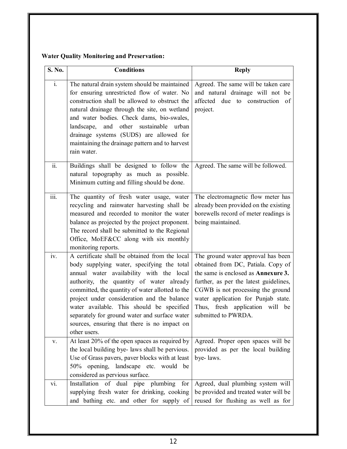|  |  |  |  | <b>Water Quality Monitoring and Preservation:</b> |
|--|--|--|--|---------------------------------------------------|
|--|--|--|--|---------------------------------------------------|

| S. No.                    | <b>Conditions</b>                                                                                                                                                                                                                                                                                                                                                                                                                                     | <b>Reply</b>                                                                                                                                                                                                                                                                                           |
|---------------------------|-------------------------------------------------------------------------------------------------------------------------------------------------------------------------------------------------------------------------------------------------------------------------------------------------------------------------------------------------------------------------------------------------------------------------------------------------------|--------------------------------------------------------------------------------------------------------------------------------------------------------------------------------------------------------------------------------------------------------------------------------------------------------|
| $\mathbf{i}$ .            | The natural drain system should be maintained<br>for ensuring unrestricted flow of water. No<br>construction shall be allowed to obstruct the<br>natural drainage through the site, on wetland<br>and water bodies. Check dams, bio-swales,<br>and other sustainable urban<br>landscape,<br>drainage systems (SUDS) are allowed for<br>maintaining the drainage pattern and to harvest<br>rain water.                                                 | Agreed. The same will be taken care<br>and natural drainage will not be<br>affected due to construction of<br>project.                                                                                                                                                                                 |
| $\overline{ii}$ .         | Buildings shall be designed to follow the<br>natural topography as much as possible.<br>Minimum cutting and filling should be done.                                                                                                                                                                                                                                                                                                                   | Agreed. The same will be followed.                                                                                                                                                                                                                                                                     |
| $\overline{\text{iii}}$ . | The quantity of fresh water usage, water<br>recycling and rainwater harvesting shall be<br>measured and recorded to monitor the water<br>balance as projected by the project proponent.<br>The record shall be submitted to the Regional<br>Office, MoEF&CC along with six monthly<br>monitoring reports.                                                                                                                                             | The electromagnetic flow meter has<br>already been provided on the existing<br>borewells record of meter readings is<br>being maintained.                                                                                                                                                              |
| iv.                       | A certificate shall be obtained from the local<br>body supplying water, specifying the total<br>annual water availability with the local<br>authority, the quantity of water already<br>committed, the quantity of water allotted to the<br>project under consideration and the balance<br>water available. This should be specified<br>separately for ground water and surface water<br>sources, ensuring that there is no impact on<br>other users. | The ground water approval has been<br>obtained from DC, Patiala. Copy of<br>the same is enclosed as <b>Annexure 3.</b><br>further, as per the latest guidelines,<br>CGWB is not processing the ground<br>water application for Punjab state.<br>Thus, fresh application will be<br>submitted to PWRDA. |
| V.                        | At least 20% of the open spaces as required by<br>the local building bye- laws shall be pervious.<br>Use of Grass pavers, paver blocks with at least<br>50% opening, landscape etc. would be<br>considered as pervious surface.                                                                                                                                                                                                                       | Agreed. Proper open spaces will be<br>provided as per the local building<br>bye-laws.                                                                                                                                                                                                                  |
| vi.                       | Installation of dual pipe plumbing for<br>supplying fresh water for drinking, cooking<br>and bathing etc. and other for supply of                                                                                                                                                                                                                                                                                                                     | Agreed, dual plumbing system will<br>be provided and treated water will be<br>reused for flushing as well as for                                                                                                                                                                                       |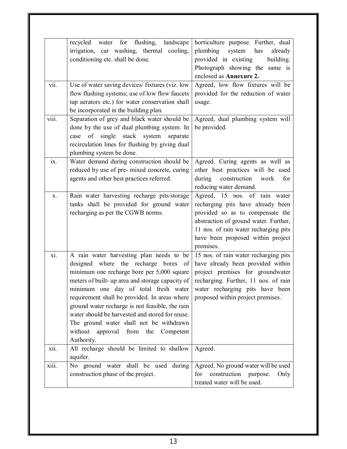|       | recycled water for flushing,<br>landscape        | horticulture purpose. Further, dual   |
|-------|--------------------------------------------------|---------------------------------------|
|       | irrigation, car washing, thermal cooling,        | plumbing<br>system<br>has<br>already  |
|       | conditioning etc. shall be done.                 | provided in existing<br>building.     |
|       |                                                  | Photograph showing the same is        |
|       |                                                  | enclosed as Annexure 2.               |
| vii.  | Use of water saving devices/ fixtures (viz. low  | Agreed, low flow fixtures will be     |
|       | flow flushing systems; use of low flow faucets   | provided for the reduction of water   |
|       | tap aerators etc.) for water conservation shall  | usage.                                |
|       | be incorporated in the building plan.            |                                       |
| viii. | Separation of grey and black water should be     | Agreed, dual plumbing system will     |
|       | done by the use of dual plumbing system. In      | be provided.                          |
|       | of single<br>stack system separate<br>case       |                                       |
|       | recirculation lines for flushing by giving dual  |                                       |
|       | plumbing system be done.                         |                                       |
| ix.   | Water demand during construction should be       | Agreed. Curing agents as well as      |
|       | reduced by use of pre- mixed concrete, curing    | other best practices will be used     |
|       | agents and other best practices referred.        | construction<br>during<br>work<br>for |
|       |                                                  | reducing water demand.                |
| X.    | Rain water harvesting recharge pits/storage      | Agreed, 15 nos. of rain water         |
|       | tanks shall be provided for ground water         | recharging pits have already been     |
|       | recharging as per the CGWB norms.                | provided so as to compensate the      |
|       |                                                  | abstraction of ground water. Further, |
|       |                                                  | 11 nos. of rain water recharging pits |
|       |                                                  | have been proposed within project     |
|       |                                                  | premises.                             |
| xi.   | A rain water harvesting plan needs to be         | 15 nos. of rain water recharging pits |
|       | designed where the recharge bores of             | have already been provided within     |
|       | minimum one recharge bore per 5,000 square       | project premises for groundwater      |
|       | meters of built- up area and storage capacity of | recharging. Further, 11 nos. of rain  |
|       | minimum one day of total fresh water             | water recharging pits have been       |
|       | requirement shall be provided. In areas where    | proposed within project premises.     |
|       | ground water recharge is not feasible, the rain  |                                       |
|       | water should be harvested and stored for reuse.  |                                       |
|       | The ground water shall not be withdrawn          |                                       |
|       | without<br>approval from the Competent           |                                       |
|       | Authority.                                       |                                       |
| xii.  | All recharge should be limited to shallow        | Agreed.                               |
|       | aquifer.                                         |                                       |
| xiii. | No ground water shall be used during             | Agreed. No ground water will be used  |
|       | construction phase of the project.               | construction purpose.<br>for<br>Only  |
|       |                                                  | treated water will be used.           |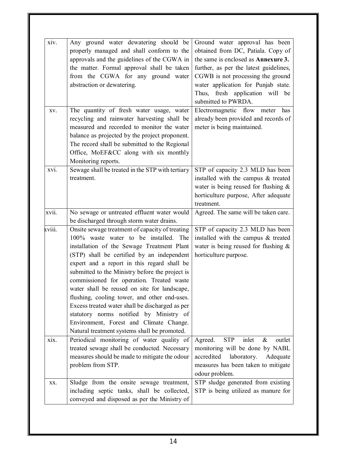| xiv.   | Any ground water dewatering should be                                                                                                                                                                                                                                                                                                                                                                                                                                                                                                                                                                                           | Ground water approval has been                                                                                                                                                     |
|--------|---------------------------------------------------------------------------------------------------------------------------------------------------------------------------------------------------------------------------------------------------------------------------------------------------------------------------------------------------------------------------------------------------------------------------------------------------------------------------------------------------------------------------------------------------------------------------------------------------------------------------------|------------------------------------------------------------------------------------------------------------------------------------------------------------------------------------|
|        | properly managed and shall conform to the<br>approvals and the guidelines of the CGWA in<br>the matter. Formal approval shall be taken<br>from the CGWA for any ground water                                                                                                                                                                                                                                                                                                                                                                                                                                                    | obtained from DC, Patiala. Copy of<br>the same is enclosed as <b>Annexure 3.</b><br>further, as per the latest guidelines,<br>CGWB is not processing the ground                    |
|        | abstraction or dewatering.                                                                                                                                                                                                                                                                                                                                                                                                                                                                                                                                                                                                      | water application for Punjab state.                                                                                                                                                |
|        |                                                                                                                                                                                                                                                                                                                                                                                                                                                                                                                                                                                                                                 | Thus, fresh application will be<br>submitted to PWRDA.                                                                                                                             |
| XV.    | The quantity of fresh water usage, water<br>recycling and rainwater harvesting shall be<br>measured and recorded to monitor the water<br>balance as projected by the project proponent.<br>The record shall be submitted to the Regional                                                                                                                                                                                                                                                                                                                                                                                        | Electromagnetic flow meter has<br>already been provided and records of<br>meter is being maintained.                                                                               |
|        | Office, MoEF&CC along with six monthly<br>Monitoring reports.                                                                                                                                                                                                                                                                                                                                                                                                                                                                                                                                                                   |                                                                                                                                                                                    |
| xvi.   | Sewage shall be treated in the STP with tertiary                                                                                                                                                                                                                                                                                                                                                                                                                                                                                                                                                                                | STP of capacity 2.3 MLD has been                                                                                                                                                   |
|        | treatment.                                                                                                                                                                                                                                                                                                                                                                                                                                                                                                                                                                                                                      | installed with the campus & treated                                                                                                                                                |
|        |                                                                                                                                                                                                                                                                                                                                                                                                                                                                                                                                                                                                                                 | water is being reused for flushing $\&$                                                                                                                                            |
|        |                                                                                                                                                                                                                                                                                                                                                                                                                                                                                                                                                                                                                                 | horticulture purpose, After adequate                                                                                                                                               |
|        |                                                                                                                                                                                                                                                                                                                                                                                                                                                                                                                                                                                                                                 | treatment.                                                                                                                                                                         |
| xvii.  | No sewage or untreated effluent water would<br>be discharged through storm water drains.                                                                                                                                                                                                                                                                                                                                                                                                                                                                                                                                        | Agreed. The same will be taken care.                                                                                                                                               |
| xviii. | Onsite sewage treatment of capacity of treating<br>100% waste water to be installed.<br>The<br>installation of the Sewage Treatment Plant<br>(STP) shall be certified by an independent<br>expert and a report in this regard shall be<br>submitted to the Ministry before the project is<br>commissioned for operation. Treated waste<br>water shall be reused on site for landscape,<br>flushing, cooling tower, and other end-uses.<br>Excess treated water shall be discharged as per<br>statutory norms notified by Ministry of<br>Environment, Forest and Climate Change.<br>Natural treatment systems shall be promoted. | STP of capacity 2.3 MLD has been<br>installed with the campus & treated<br>water is being reused for flushing $\&$<br>horticulture purpose.                                        |
| xix.   | Periodical monitoring of water quality of<br>treated sewage shall be conducted. Necessary<br>measures should be made to mitigate the odour<br>problem from STP.                                                                                                                                                                                                                                                                                                                                                                                                                                                                 | inlet<br>outlet<br>Agreed.<br><b>STP</b><br>&<br>monitoring will be done by NABL<br>accredited<br>laboratory.<br>Adequate<br>measures has been taken to mitigate<br>odour problem. |
| XX.    | Sludge from the onsite sewage treatment,<br>including septic tanks, shall be collected,<br>conveyed and disposed as per the Ministry of                                                                                                                                                                                                                                                                                                                                                                                                                                                                                         | STP sludge generated from existing<br>STP is being utilized as manure for                                                                                                          |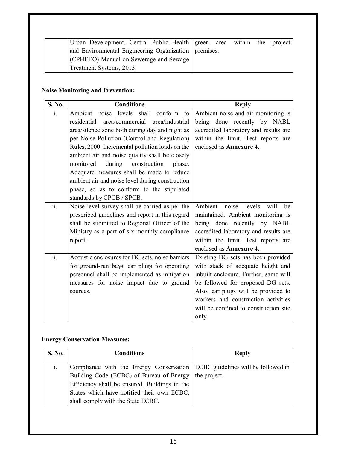| Urban Development, Central Public Health green area within the project |  |  |  |
|------------------------------------------------------------------------|--|--|--|
| and Environmental Engineering Organization   premises.                 |  |  |  |
| CPHEEO) Manual on Sewerage and Sewage                                  |  |  |  |
| Treatment Systems, 2013.                                               |  |  |  |

#### **Noise Monitoring and Prevention:**

| S. No.                                   | <b>Conditions</b>                                 | <b>Reply</b>                          |
|------------------------------------------|---------------------------------------------------|---------------------------------------|
| $\mathbf{i}$ .                           | Ambient noise levels shall conform to             | Ambient noise and air monitoring is   |
|                                          | area/industrial<br>residential<br>area/commercial | being done recently by NABL           |
|                                          | area/silence zone both during day and night as    | accredited laboratory and results are |
|                                          | per Noise Pollution (Control and Regulation)      | within the limit. Test reports are    |
|                                          | Rules, 2000. Incremental pollution loads on the   | enclosed as <b>Annexure 4.</b>        |
|                                          | ambient air and noise quality shall be closely    |                                       |
|                                          | monitored<br>during<br>construction<br>phase.     |                                       |
|                                          | Adequate measures shall be made to reduce         |                                       |
|                                          | ambient air and noise level during construction   |                                       |
|                                          | phase, so as to conform to the stipulated         |                                       |
|                                          | standards by CPCB / SPCB.                         |                                       |
| $\overline{\ddot{\mathbf{i}}\mathbf{i}}$ | Noise level survey shall be carried as per the    | Ambient<br>noise levels<br>will<br>be |
|                                          | prescribed guidelines and report in this regard   | maintained. Ambient monitoring is     |
|                                          | shall be submitted to Regional Officer of the     | being done recently by NABL           |
|                                          | Ministry as a part of six-monthly compliance      | accredited laboratory and results are |
|                                          | report.                                           | within the limit. Test reports are    |
|                                          |                                                   | enclosed as Annexure 4.               |
| iii.                                     | Acoustic enclosures for DG sets, noise barriers   | Existing DG sets has been provided    |
|                                          | for ground-run bays, ear plugs for operating      | with stack of adequate height and     |
|                                          | personnel shall be implemented as mitigation      | inbuilt enclosure. Further, same will |
|                                          | measures for noise impact due to ground           | be followed for proposed DG sets.     |
|                                          | sources.                                          | Also, ear plugs will be provided to   |
|                                          |                                                   | workers and construction activities   |
|                                          |                                                   | will be confined to construction site |
|                                          |                                                   | only.                                 |

#### **Energy Conservation Measures:**

| <b>S. No.</b> | <b>Conditions</b>                                                             | <b>Reply</b> |
|---------------|-------------------------------------------------------------------------------|--------------|
|               |                                                                               |              |
|               | Compliance with the Energy Conservation   ECBC guidelines will be followed in |              |
|               | Building Code (ECBC) of Bureau of Energy   the project.                       |              |
|               | Efficiency shall be ensured. Buildings in the                                 |              |
|               | States which have notified their own ECBC,                                    |              |
|               | shall comply with the State ECBC.                                             |              |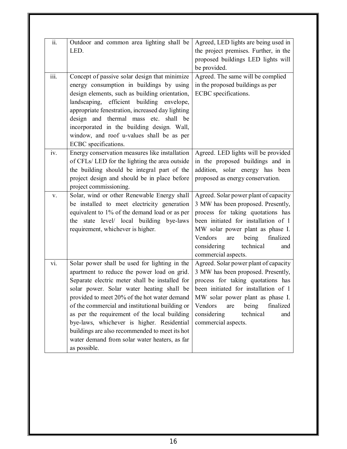| $\overline{\overline{\mathbf{ii}}\cdot}$ | Outdoor and common area lighting shall be<br>LED.                                                                                                                                                                                                                                                                                                                                                                                                                                                               | Agreed, LED lights are being used in<br>the project premises. Further, in the<br>proposed buildings LED lights will<br>be provided.                                                                                                                                                            |
|------------------------------------------|-----------------------------------------------------------------------------------------------------------------------------------------------------------------------------------------------------------------------------------------------------------------------------------------------------------------------------------------------------------------------------------------------------------------------------------------------------------------------------------------------------------------|------------------------------------------------------------------------------------------------------------------------------------------------------------------------------------------------------------------------------------------------------------------------------------------------|
| $\overline{\text{iii}}$ .                | Concept of passive solar design that minimize<br>energy consumption in buildings by using<br>design elements, such as building orientation,<br>landscaping, efficient building envelope,<br>appropriate fenestration, increased day lighting<br>design and thermal mass etc. shall be<br>incorporated in the building design. Wall,<br>window, and roof u-values shall be as per<br>ECBC specifications.                                                                                                        | Agreed. The same will be complied<br>in the proposed buildings as per<br>ECBC specifications.                                                                                                                                                                                                  |
| iv.                                      | Energy conservation measures like installation<br>of CFLs/ LED for the lighting the area outside<br>the building should be integral part of the<br>project design and should be in place before<br>project commissioning.                                                                                                                                                                                                                                                                                       | Agreed. LED lights will be provided<br>in the proposed buildings and in<br>addition, solar energy has been<br>proposed as energy conservation.                                                                                                                                                 |
| V.                                       | Solar, wind or other Renewable Energy shall<br>be installed to meet electricity generation<br>equivalent to 1% of the demand load or as per<br>the state level/ local building bye-laws<br>requirement, whichever is higher.                                                                                                                                                                                                                                                                                    | Agreed. Solar power plant of capacity<br>3 MW has been proposed. Presently,<br>process for taking quotations has<br>been initiated for installation of 1<br>MW solar power plant as phase I.<br>Vendors<br>are<br>being<br>finalized<br>considering<br>technical<br>and<br>commercial aspects. |
| vi.                                      | Solar power shall be used for lighting in the<br>apartment to reduce the power load on grid.<br>Separate electric meter shall be installed for<br>solar power. Solar water heating shall be<br>provided to meet 20% of the hot water demand<br>of the commercial and institutional building or<br>as per the requirement of the local building<br>bye-laws, whichever is higher. Residential<br>buildings are also recommended to meet its hot<br>water demand from solar water heaters, as far<br>as possible. | Agreed. Solar power plant of capacity<br>3 MW has been proposed. Presently,<br>process for taking quotations has<br>been initiated for installation of 1<br>MW solar power plant as phase I.<br>Vendors<br>being<br>finalized<br>are<br>considering<br>technical<br>and<br>commercial aspects. |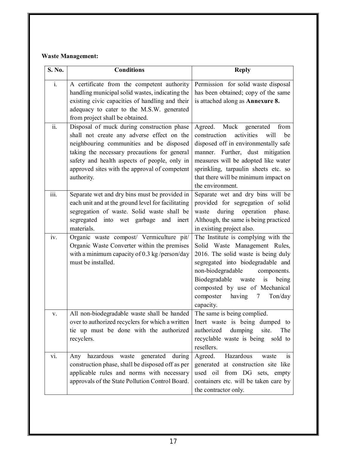#### **Waste Management:**

| S. No.                    | <b>Conditions</b>                                                                                                                                                                                                                                                                                   | <b>Reply</b>                                                                                                                                                                                                                                                                                                             |
|---------------------------|-----------------------------------------------------------------------------------------------------------------------------------------------------------------------------------------------------------------------------------------------------------------------------------------------------|--------------------------------------------------------------------------------------------------------------------------------------------------------------------------------------------------------------------------------------------------------------------------------------------------------------------------|
| $\mathbf{i}$ .            | A certificate from the competent authority<br>handling municipal solid wastes, indicating the<br>existing civic capacities of handling and their<br>adequacy to cater to the M.S.W. generated<br>from project shall be obtained.                                                                    | Permission for solid waste disposal<br>has been obtained; copy of the same<br>is attached along as Annexure 8.                                                                                                                                                                                                           |
| ii.                       | Disposal of muck during construction phase<br>shall not create any adverse effect on the<br>neighbouring communities and be disposed<br>taking the necessary precautions for general<br>safety and health aspects of people, only in<br>approved sites with the approval of competent<br>authority. | Agreed. Muck<br>generated<br>from<br>activities<br>construction<br>will<br>be<br>disposed off in environmentally safe<br>manner. Further, dust mitigation<br>measures will be adopted like water<br>sprinkling, tarpaulin sheets etc. so<br>that there will be minimum impact on<br>the environment.                     |
| $\overline{\text{iii}}$ . | Separate wet and dry bins must be provided in<br>each unit and at the ground level for facilitating<br>segregation of waste. Solid waste shall be<br>segregated into wet garbage and inert<br>materials.                                                                                            | Separate wet and dry bins will be<br>provided for segregation of solid<br>during operation<br>waste<br>phase.<br>Although, the same is being practiced<br>in existing project also.                                                                                                                                      |
| iv.                       | Organic waste compost/ Vermiculture pit/<br>Organic Waste Converter within the premises<br>with a minimum capacity of 0.3 kg/person/day<br>must be installed.                                                                                                                                       | The Institute is complying with the<br>Solid Waste Management Rules,<br>2016. The solid waste is being duly<br>segregated into biodegradable and<br>non-biodegradable<br>components.<br>Biodegradable<br>is<br>waste<br>being<br>composted by use of Mechanical<br>composter<br>having<br>$\tau$<br>Ton/day<br>capacity. |
| V.                        | All non-biodegradable waste shall be handed<br>over to authorized recyclers for which a written<br>tie up must be done with the authorized<br>recyclers.                                                                                                                                            | The same is being complied.<br>Inert waste is being dumped to<br>dumping<br>authorized<br>site.<br>The<br>recyclable waste is being sold to<br>resellers.                                                                                                                                                                |
| vi.                       | Any hazardous waste generated during<br>construction phase, shall be disposed off as per<br>applicable rules and norms with necessary<br>approvals of the State Pollution Control Board.                                                                                                            | Agreed.<br>Hazardous<br>waste<br>is<br>generated at construction site like<br>used oil from DG sets, empty<br>containers etc. will be taken care by<br>the contractor only.                                                                                                                                              |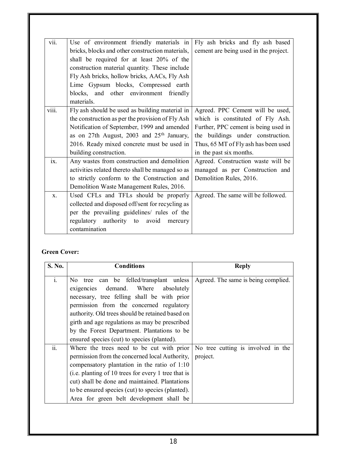| vii.  | Use of environment friendly materials in              | Fly ash bricks and fly ash based      |
|-------|-------------------------------------------------------|---------------------------------------|
|       | bricks, blocks and other construction materials,      | cement are being used in the project. |
|       | shall be required for at least 20% of the             |                                       |
|       | construction material quantity. These include         |                                       |
|       | Fly Ash bricks, hollow bricks, AACs, Fly Ash          |                                       |
|       | Lime Gypsum blocks, Compressed earth                  |                                       |
|       | blocks, and other environment friendly                |                                       |
|       | materials.                                            |                                       |
| viii. | Fly ash should be used as building material in        | Agreed. PPC Cement will be used,      |
|       | the construction as per the provision of Fly Ash      | which is constituted of Fly Ash.      |
|       | Notification of September, 1999 and amended           | Further, PPC cement is being used in  |
|       | as on 27th August, 2003 and 25 <sup>th</sup> January, | the buildings under construction.     |
|       | 2016. Ready mixed concrete must be used in            | Thus, 65 MT of Fly ash has been used  |
|       | building construction.                                | in the past six months.               |
| ix.   | Any wastes from construction and demolition           | Agreed. Construction waste will be    |
|       | activities related thereto shall be managed so as     | managed as per Construction and       |
|       | to strictly conform to the Construction and           | Demolition Rules, 2016.               |
|       | Demolition Waste Management Rules, 2016.              |                                       |
| $X$ . | Used CFLs and TFLs should be properly                 | Agreed. The same will be followed.    |
|       | collected and disposed off/sent for recycling as      |                                       |
|       | per the prevailing guidelines/ rules of the           |                                       |
|       | regulatory authority to avoid mercury                 |                                       |
|       | contamination                                         |                                       |

#### **Green Cover:**

| S. No.         | <b>Conditions</b>                                                                                                                                                                                                                                                                                                                                                                   | <b>Reply</b>                                   |
|----------------|-------------------------------------------------------------------------------------------------------------------------------------------------------------------------------------------------------------------------------------------------------------------------------------------------------------------------------------------------------------------------------------|------------------------------------------------|
| $\mathbf{i}$ . | No tree can be felled/transplant unless<br>demand. Where<br>absolutely<br>exigencies<br>necessary, tree felling shall be with prior<br>permission from the concerned regulatory<br>authority. Old trees should be retained based on<br>girth and age regulations as may be prescribed<br>by the Forest Department. Plantations to be<br>ensured species (cut) to species (planted). | Agreed. The same is being complied.            |
| ii.            | Where the trees need to be cut with prior<br>permission from the concerned local Authority,<br>compensatory plantation in the ratio of 1:10<br>(i.e. planting of 10 trees for every 1 tree that is<br>cut) shall be done and maintained. Plantations<br>to be ensured species (cut) to species (planted).<br>Area for green belt development shall be                               | No tree cutting is involved in the<br>project. |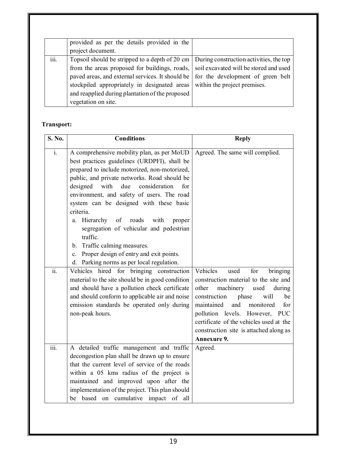|      | provided as per the details provided in the                                                    |                              |
|------|------------------------------------------------------------------------------------------------|------------------------------|
|      | project document.                                                                              |                              |
| iii. | Topsoil should be stripped to a depth of 20 cm $\vert$ During construction activities, the top |                              |
|      | from the areas proposed for buildings, roads, soil excavated will be stored and used           |                              |
|      | paved areas, and external services. It should be $\vert$ for the development of green belt     |                              |
|      | stockpiled appropriately in designated areas                                                   | within the project premises. |
|      | and reapplied during plantation of the proposed                                                |                              |
|      | vegetation on site.                                                                            |                              |

#### **Transport:**

| S. No.             | <b>Conditions</b>                                                                                                                                                                                                                                                                                                                                                                                                                                                                                                                                    | <b>Reply</b>                                                                                                                                                                                                                                                                                                                                      |
|--------------------|------------------------------------------------------------------------------------------------------------------------------------------------------------------------------------------------------------------------------------------------------------------------------------------------------------------------------------------------------------------------------------------------------------------------------------------------------------------------------------------------------------------------------------------------------|---------------------------------------------------------------------------------------------------------------------------------------------------------------------------------------------------------------------------------------------------------------------------------------------------------------------------------------------------|
| $\overline{i}$ .   | A comprehensive mobility plan, as per MoUD<br>best practices guidelines (URDPFI), shall be<br>prepared to include motorized, non-motorized,<br>public, and private networks. Road should be<br>due<br>consideration<br>designed<br>with<br>for<br>environment, and safety of users. The road<br>system can be designed with these basic<br>criteria.<br>a. Hierarchy<br>of<br>roads<br>with<br>proper<br>segregation of vehicular and pedestrian<br>traffic.<br>b. Traffic calming measures.<br>Proper design of entry and exit points.<br>$c_{\rm}$ | Agreed. The same will complied.                                                                                                                                                                                                                                                                                                                   |
| $\overline{ii}$ .  | d. Parking norms as per local regulation.<br>Vehicles hired for bringing construction<br>material to the site should be in good condition<br>and should have a pollution check certificate<br>and should conform to applicable air and noise<br>emission standards be operated only during<br>non-peak hours.                                                                                                                                                                                                                                        | Vehicles<br>used<br>for<br>bringing<br>construction material to the site and<br>other<br>machinery<br>during<br>used<br>construction<br>phase<br>will<br>be<br>and<br>monitored<br>maintained<br>for<br>pollution levels. However, PUC<br>certificate of the vehicles used at the<br>construction site is attached along as<br><b>Annexure 9.</b> |
| $\overline{iii}$ . | A detailed traffic management and traffic<br>decongestion plan shall be drawn up to ensure<br>that the current level of service of the roads<br>within a 05 kms radius of the project is<br>maintained and improved upon after the<br>implementation of the project. This plan should<br>be based on cumulative impact of all                                                                                                                                                                                                                        | Agreed.                                                                                                                                                                                                                                                                                                                                           |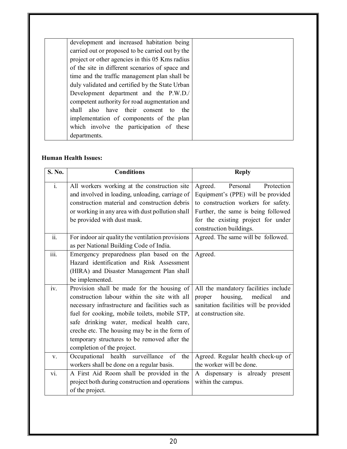| development and increased habitation being       |
|--------------------------------------------------|
| carried out or proposed to be carried out by the |
| project or other agencies in this 05 Kms radius  |
| of the site in different scenarios of space and  |
| time and the traffic management plan shall be    |
| duly validated and certified by the State Urban  |
| Development department and the P.W.D./           |
| competent authority for road augmentation and    |
| shall also have their consent to<br>the          |
| implementation of components of the plan         |
| which involve the participation of these         |
| departments.                                     |

#### **Human Health Issues:**

| S. No.                    | <b>Conditions</b>                                                                                                                                                                                                                                                                                                                                                          | <b>Reply</b>                                                                                                                                                                                                           |
|---------------------------|----------------------------------------------------------------------------------------------------------------------------------------------------------------------------------------------------------------------------------------------------------------------------------------------------------------------------------------------------------------------------|------------------------------------------------------------------------------------------------------------------------------------------------------------------------------------------------------------------------|
| $\overline{\mathbf{i}}$ . | All workers working at the construction site<br>and involved in loading, unloading, carriage of<br>construction material and construction debris<br>or working in any area with dust pollution shall<br>be provided with dust mask.                                                                                                                                        | Protection<br>Agreed.<br>Personal<br>Equipment's (PPE) will be provided<br>to construction workers for safety.<br>Further, the same is being followed<br>for the existing project for under<br>construction buildings. |
| $\overline{ii}$ .         | For indoor air quality the ventilation provisions<br>as per National Building Code of India.                                                                                                                                                                                                                                                                               | Agreed. The same will be followed.                                                                                                                                                                                     |
| $\overline{\text{iii}}$ . | Emergency preparedness plan based on the<br>Hazard identification and Risk Assessment<br>(HIRA) and Disaster Management Plan shall<br>be implemented.                                                                                                                                                                                                                      | Agreed.                                                                                                                                                                                                                |
| iv.                       | Provision shall be made for the housing of<br>construction labour within the site with all<br>necessary infrastructure and facilities such as<br>fuel for cooking, mobile toilets, mobile STP,<br>safe drinking water, medical health care,<br>creche etc. The housing may be in the form of<br>temporary structures to be removed after the<br>completion of the project. | All the mandatory facilities include<br>housing,<br>proper<br>medical<br>and<br>sanitation facilities will be provided<br>at construction site.                                                                        |
| V.                        | Occupational health surveillance of<br>the<br>workers shall be done on a regular basis.                                                                                                                                                                                                                                                                                    | Agreed. Regular health check-up of<br>the worker will be done.                                                                                                                                                         |
| vi.                       | A First Aid Room shall be provided in the<br>project both during construction and operations<br>of the project.                                                                                                                                                                                                                                                            | A dispensary is already present<br>within the campus.                                                                                                                                                                  |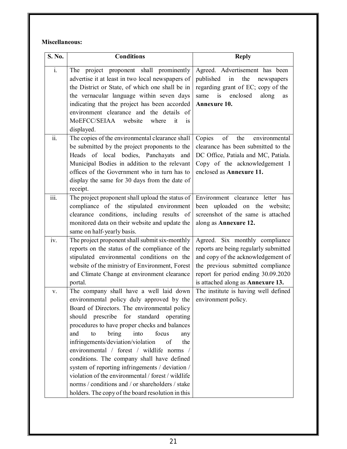#### **Miscellaneous:**

| S. No.                    | <b>Conditions</b>                                                                                                                                                                                                                                                                                                                                                                                                                                                                                                                                                                                                                             | <b>Reply</b>                                                                                                                                                                                                                   |
|---------------------------|-----------------------------------------------------------------------------------------------------------------------------------------------------------------------------------------------------------------------------------------------------------------------------------------------------------------------------------------------------------------------------------------------------------------------------------------------------------------------------------------------------------------------------------------------------------------------------------------------------------------------------------------------|--------------------------------------------------------------------------------------------------------------------------------------------------------------------------------------------------------------------------------|
| $\mathbf{i}$ .            | The project proponent shall prominently<br>advertise it at least in two local newspapers of<br>the District or State, of which one shall be in<br>the vernacular language within seven days<br>indicating that the project has been accorded<br>environment clearance and the details of<br>MoEFCC/SEIAA website<br>where<br>it.<br><b>1S</b><br>displayed.                                                                                                                                                                                                                                                                                   | Agreed. Advertisement has been<br>published<br>in<br>the<br>newspapers<br>regarding grant of EC; copy of the<br>is<br>same<br>enclosed<br>along<br>as<br>Annexure 10.                                                          |
| ii.                       | The copies of the environmental clearance shall<br>be submitted by the project proponents to the<br>Heads of local bodies, Panchayats and<br>Municipal Bodies in addition to the relevant<br>offices of the Government who in turn has to<br>display the same for 30 days from the date of<br>receipt.                                                                                                                                                                                                                                                                                                                                        | of<br>Copies<br>the<br>environmental<br>clearance has been submitted to the<br>DC Office, Patiala and MC, Patiala.<br>Copy of the acknowledgement I<br>enclosed as Annexure 11.                                                |
| $\overline{\mathbf{iii}}$ | The project proponent shall upload the status of<br>compliance of the stipulated environment<br>clearance conditions, including results of<br>monitored data on their website and update the<br>same on half-yearly basis.                                                                                                                                                                                                                                                                                                                                                                                                                    | Environment clearance letter has<br>been uploaded on the website;<br>screenshot of the same is attached<br>along as Annexure 12.                                                                                               |
| iv.                       | The project proponent shall submit six-monthly<br>reports on the status of the compliance of the<br>stipulated environmental conditions on the<br>website of the ministry of Environment, Forest<br>and Climate Change at environment clearance<br>portal.                                                                                                                                                                                                                                                                                                                                                                                    | Agreed. Six monthly compliance<br>reports are being regularly submitted<br>and copy of the acknowledgement of<br>the previous submitted compliance<br>report for period ending 30.09.2020<br>is attached along as Annexure 13. |
| V.                        | The company shall have a well laid down<br>environmental policy duly approved by the<br>Board of Directors. The environmental policy<br>should prescribe for standard operating<br>procedures to have proper checks and balances<br>bring<br>into<br>focus<br>and<br>to<br>any<br>infringements/deviation/violation<br>of<br>the<br>environmental / forest / wildlife norms /<br>conditions. The company shall have defined<br>system of reporting infringements / deviation /<br>violation of the environmental / forest / wildlife<br>norms / conditions and / or shareholders / stake<br>holders. The copy of the board resolution in this | The institute is having well defined<br>environment policy.                                                                                                                                                                    |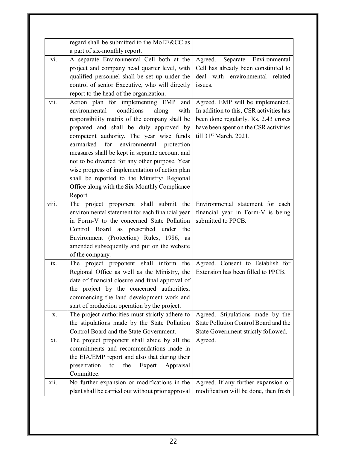|                   | regard shall be submitted to the MoEF&CC as       |                                         |
|-------------------|---------------------------------------------------|-----------------------------------------|
|                   | a part of six-monthly report.                     |                                         |
| vi.               | A separate Environmental Cell both at the         | Separate Environmental<br>Agreed.       |
|                   | project and company head quarter level, with      | Cell has already been constituted to    |
|                   | qualified personnel shall be set up under the     | deal with environmental related         |
|                   | control of senior Executive, who will directly    | issues.                                 |
|                   | report to the head of the organization.           |                                         |
| vii.              | Action plan for implementing EMP<br>and           | Agreed. EMP will be implemented.        |
|                   | environmental<br>conditions<br>along<br>with      | In addition to this, CSR activities has |
|                   | responsibility matrix of the company shall be     | been done regularly. Rs. 2.43 crores    |
|                   | prepared and shall be duly approved by            | have been spent on the CSR activities   |
|                   | competent authority. The year wise funds          | till $31st March$ , 2021.               |
|                   | earmarked for<br>environmental protection         |                                         |
|                   | measures shall be kept in separate account and    |                                         |
|                   | not to be diverted for any other purpose. Year    |                                         |
|                   | wise progress of implementation of action plan    |                                         |
|                   | shall be reported to the Ministry/ Regional       |                                         |
|                   | Office along with the Six-Monthly Compliance      |                                         |
|                   | Report.                                           |                                         |
| viii.             | The project proponent shall submit the            | Environmental statement for each        |
|                   | environmental statement for each financial year   | financial year in Form-V is being       |
|                   | in Form-V to the concerned State Pollution        | submitted to PPCB.                      |
|                   | Control Board as prescribed under the             |                                         |
|                   | Environment (Protection) Rules, 1986, as          |                                         |
|                   | amended subsequently and put on the website       |                                         |
|                   | of the company.                                   |                                         |
| $\overline{1}X$ . | project proponent shall inform the<br>The         | Agreed. Consent to Establish for        |
|                   | Regional Office as well as the Ministry, the      | Extension has been filled to PPCB.      |
|                   | date of financial closure and final approval of   |                                         |
|                   | the project by the concerned authorities,         |                                         |
|                   | commencing the land development work and          |                                         |
|                   | start of production operation by the project.     |                                         |
| X.                | The project authorities must strictly adhere to   | Agreed. Stipulations made by the        |
|                   | the stipulations made by the State Pollution      | State Pollution Control Board and the   |
|                   | Control Board and the State Government.           | State Government strictly followed.     |
| xi.               | The project proponent shall abide by all the      | Agreed.                                 |
|                   | commitments and recommendations made in           |                                         |
|                   | the EIA/EMP report and also that during their     |                                         |
|                   | presentation<br>the<br>Expert<br>to<br>Appraisal  |                                         |
|                   | Committee.                                        |                                         |
| X11.              | No further expansion or modifications in the      | Agreed. If any further expansion or     |
|                   | plant shall be carried out without prior approval | modification will be done, then fresh   |
|                   |                                                   |                                         |